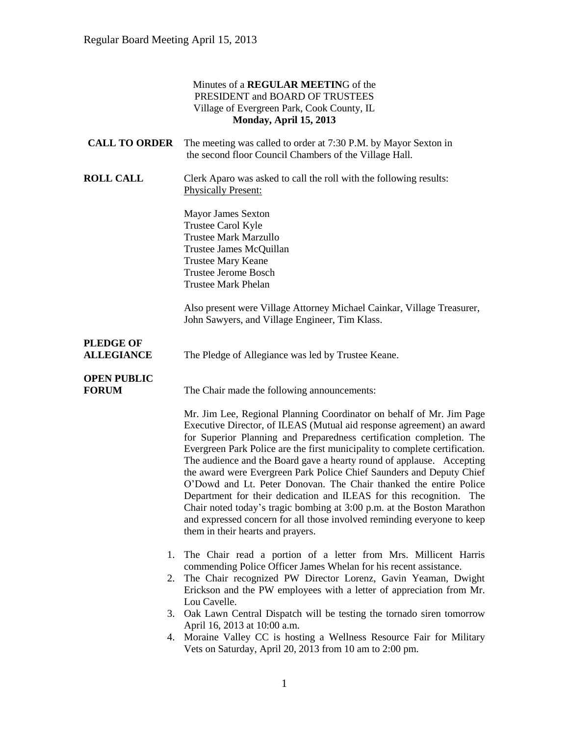### Minutes of a **REGULAR MEETIN**G of the PRESIDENT and BOARD OF TRUSTEES Village of Evergreen Park, Cook County, IL **Monday, April 15, 2013**

| <b>CALL TO ORDER</b>                  | The meeting was called to order at 7:30 P.M. by Mayor Sexton in<br>the second floor Council Chambers of the Village Hall.                                                                                                                                                                                                                                                                                                                                                                                                                                                                                                                                                                                                                                                                   |
|---------------------------------------|---------------------------------------------------------------------------------------------------------------------------------------------------------------------------------------------------------------------------------------------------------------------------------------------------------------------------------------------------------------------------------------------------------------------------------------------------------------------------------------------------------------------------------------------------------------------------------------------------------------------------------------------------------------------------------------------------------------------------------------------------------------------------------------------|
| <b>ROLL CALL</b>                      | Clerk Aparo was asked to call the roll with the following results:<br><b>Physically Present:</b>                                                                                                                                                                                                                                                                                                                                                                                                                                                                                                                                                                                                                                                                                            |
|                                       | <b>Mayor James Sexton</b><br><b>Trustee Carol Kyle</b><br><b>Trustee Mark Marzullo</b><br>Trustee James McQuillan<br><b>Trustee Mary Keane</b><br><b>Trustee Jerome Bosch</b><br><b>Trustee Mark Phelan</b>                                                                                                                                                                                                                                                                                                                                                                                                                                                                                                                                                                                 |
|                                       | Also present were Village Attorney Michael Cainkar, Village Treasurer,<br>John Sawyers, and Village Engineer, Tim Klass.                                                                                                                                                                                                                                                                                                                                                                                                                                                                                                                                                                                                                                                                    |
| <b>PLEDGE OF</b><br><b>ALLEGIANCE</b> | The Pledge of Allegiance was led by Trustee Keane.                                                                                                                                                                                                                                                                                                                                                                                                                                                                                                                                                                                                                                                                                                                                          |
| <b>OPEN PUBLIC</b><br><b>FORUM</b>    | The Chair made the following announcements:                                                                                                                                                                                                                                                                                                                                                                                                                                                                                                                                                                                                                                                                                                                                                 |
|                                       | Mr. Jim Lee, Regional Planning Coordinator on behalf of Mr. Jim Page<br>Executive Director, of ILEAS (Mutual aid response agreement) an award<br>for Superior Planning and Preparedness certification completion. The<br>Evergreen Park Police are the first municipality to complete certification.<br>The audience and the Board gave a hearty round of applause. Accepting<br>the award were Evergreen Park Police Chief Saunders and Deputy Chief<br>O'Dowd and Lt. Peter Donovan. The Chair thanked the entire Police<br>Department for their dedication and ILEAS for this recognition. The<br>Chair noted today's tragic bombing at 3:00 p.m. at the Boston Marathon<br>and expressed concern for all those involved reminding everyone to keep<br>them in their hearts and prayers. |
|                                       | The Chair read a portion of a letter from Mrs. Millicent Harris<br>1.<br>commending Police Officer James Whelan for his recent assistance.<br>The Chair recognized PW Director Lorenz, Gavin Yeaman, Dwight<br>2.<br>Erickson and the PW employees with a letter of appreciation from Mr.<br>Lou Cavelle.                                                                                                                                                                                                                                                                                                                                                                                                                                                                                   |
|                                       | 3. Oak Lawn Central Dispatch will be testing the tornado siren tomorrow<br>April 16, 2013 at 10:00 a.m.<br>Moraine Valley CC is hosting a Wellness Resource Fair for Military<br>4.<br>Vets on Saturday, April 20, 2013 from 10 am to 2:00 pm.                                                                                                                                                                                                                                                                                                                                                                                                                                                                                                                                              |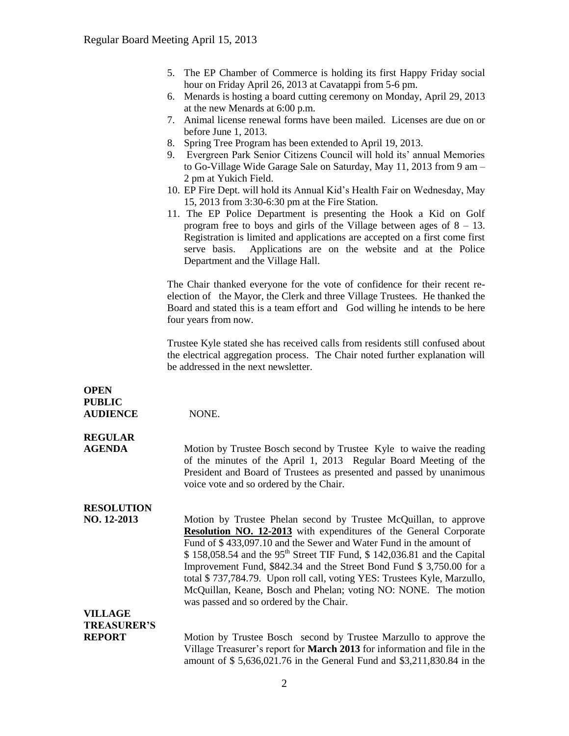- 5. The EP Chamber of Commerce is holding its first Happy Friday social hour on Friday April 26, 2013 at Cavatappi from 5-6 pm.
- 6. Menards is hosting a board cutting ceremony on Monday, April 29, 2013 at the new Menards at 6:00 p.m.
- 7. Animal license renewal forms have been mailed. Licenses are due on or before June 1, 2013.
- 8. Spring Tree Program has been extended to April 19, 2013.
- 9. Evergreen Park Senior Citizens Council will hold its' annual Memories to Go-Village Wide Garage Sale on Saturday, May 11, 2013 from 9 am – 2 pm at Yukich Field.
- 10. EP Fire Dept. will hold its Annual Kid's Health Fair on Wednesday, May 15, 2013 from 3:30-6:30 pm at the Fire Station.
- 11. The EP Police Department is presenting the Hook a Kid on Golf program free to boys and girls of the Village between ages of  $8 - 13$ . Registration is limited and applications are accepted on a first come first serve basis. Applications are on the website and at the Police Department and the Village Hall.

The Chair thanked everyone for the vote of confidence for their recent reelection of the Mayor, the Clerk and three Village Trustees. He thanked the Board and stated this is a team effort and God willing he intends to be here four years from now.

Trustee Kyle stated she has received calls from residents still confused about the electrical aggregation process. The Chair noted further explanation will be addressed in the next newsletter.

| <b>OPEN</b><br><b>PUBLIC</b> |                                                                                                                                                                                                                                                                                                                                                                                                                                                                                                                                                                               |
|------------------------------|-------------------------------------------------------------------------------------------------------------------------------------------------------------------------------------------------------------------------------------------------------------------------------------------------------------------------------------------------------------------------------------------------------------------------------------------------------------------------------------------------------------------------------------------------------------------------------|
| <b>AUDIENCE</b>              | NONE.                                                                                                                                                                                                                                                                                                                                                                                                                                                                                                                                                                         |
| <b>REGULAR</b>               |                                                                                                                                                                                                                                                                                                                                                                                                                                                                                                                                                                               |
| <b>AGENDA</b>                | Motion by Trustee Bosch second by Trustee Kyle to waive the reading<br>of the minutes of the April 1, 2013 Regular Board Meeting of the<br>President and Board of Trustees as presented and passed by unanimous<br>voice vote and so ordered by the Chair.                                                                                                                                                                                                                                                                                                                    |
| <b>RESOLUTION</b>            |                                                                                                                                                                                                                                                                                                                                                                                                                                                                                                                                                                               |
| NO. 12-2013                  | Motion by Trustee Phelan second by Trustee McQuillan, to approve<br><b>Resolution NO. 12-2013</b> with expenditures of the General Corporate<br>Fund of \$433,097.10 and the Sewer and Water Fund in the amount of<br>$$158,058.54$ and the 95 <sup>th</sup> Street TIF Fund, $$142,036.81$ and the Capital<br>Improvement Fund, \$842.34 and the Street Bond Fund \$3,750.00 for a<br>total \$737,784.79. Upon roll call, voting YES: Trustees Kyle, Marzullo,<br>McQuillan, Keane, Bosch and Phelan; voting NO: NONE. The motion<br>was passed and so ordered by the Chair. |
| <b>VILLAGE</b>               |                                                                                                                                                                                                                                                                                                                                                                                                                                                                                                                                                                               |
| <b>TREASURER'S</b>           |                                                                                                                                                                                                                                                                                                                                                                                                                                                                                                                                                                               |
| <b>REPORT</b>                | Motion by Trustee Bosch second by Trustee Marzullo to approve the<br>Village Treasurer's report for March 2013 for information and file in the<br>amount of \$5,636,021.76 in the General Fund and \$3,211,830.84 in the                                                                                                                                                                                                                                                                                                                                                      |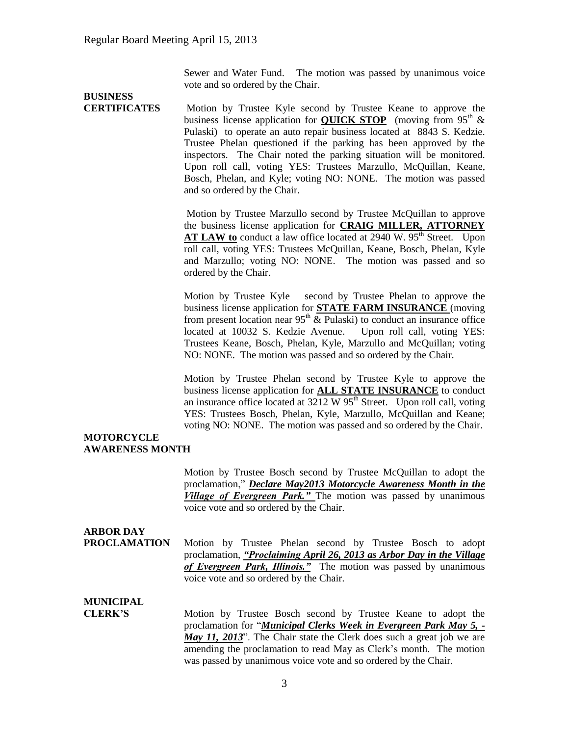Sewer and Water Fund. The motion was passed by unanimous voice vote and so ordered by the Chair.

# **BUSINESS**

**CERTIFICATES** Motion by Trustee Kyle second by Trustee Keane to approve the business license application for **QUICK STOP** (moving from  $95<sup>th</sup>$  & Pulaski) to operate an auto repair business located at 8843 S. Kedzie. Trustee Phelan questioned if the parking has been approved by the inspectors. The Chair noted the parking situation will be monitored. Upon roll call, voting YES: Trustees Marzullo, McQuillan, Keane, Bosch, Phelan, and Kyle; voting NO: NONE. The motion was passed and so ordered by the Chair.

> Motion by Trustee Marzullo second by Trustee McQuillan to approve the business license application for **CRAIG MILLER, ATTORNEY AT LAW to** conduct a law office located at 2940 W. 95<sup>th</sup> Street. Upon roll call, voting YES: Trustees McQuillan, Keane, Bosch, Phelan, Kyle and Marzullo; voting NO: NONE. The motion was passed and so ordered by the Chair.

> Motion by Trustee Kyle second by Trustee Phelan to approve the business license application for **STATE FARM INSURANCE** (moving from present location near  $95<sup>th</sup>$  & Pulaski) to conduct an insurance office located at 10032 S. Kedzie Avenue. Upon roll call, voting YES: Trustees Keane, Bosch, Phelan, Kyle, Marzullo and McQuillan; voting NO: NONE. The motion was passed and so ordered by the Chair.

> Motion by Trustee Phelan second by Trustee Kyle to approve the business license application for **ALL STATE INSURANCE** to conduct an insurance office located at  $3212 \text{ W } 95^{\text{th}}$  Street. Upon roll call, voting YES: Trustees Bosch, Phelan, Kyle, Marzullo, McQuillan and Keane; voting NO: NONE. The motion was passed and so ordered by the Chair.

### **MOTORCYCLE AWARENESS MONTH**

Motion by Trustee Bosch second by Trustee McQuillan to adopt the proclamation," *Declare May2013 Motorcycle Awareness Month in the Village of Evergreen Park."* The motion was passed by unanimous voice vote and so ordered by the Chair.

### **ARBOR DAY**

**PROCLAMATION** Motion by Trustee Phelan second by Trustee Bosch to adopt proclamation, *"Proclaiming April 26, 2013 as Arbor Day in the Village of Evergreen Park, Illinois."* The motion was passed by unanimous voice vote and so ordered by the Chair.

### **MUNICIPAL**

**CLERK'S** Motion by Trustee Bosch second by Trustee Keane to adopt the proclamation for "*Municipal Clerks Week in Evergreen Park May 5, - May 11, 2013*". The Chair state the Clerk does such a great job we are amending the proclamation to read May as Clerk's month. The motion was passed by unanimous voice vote and so ordered by the Chair.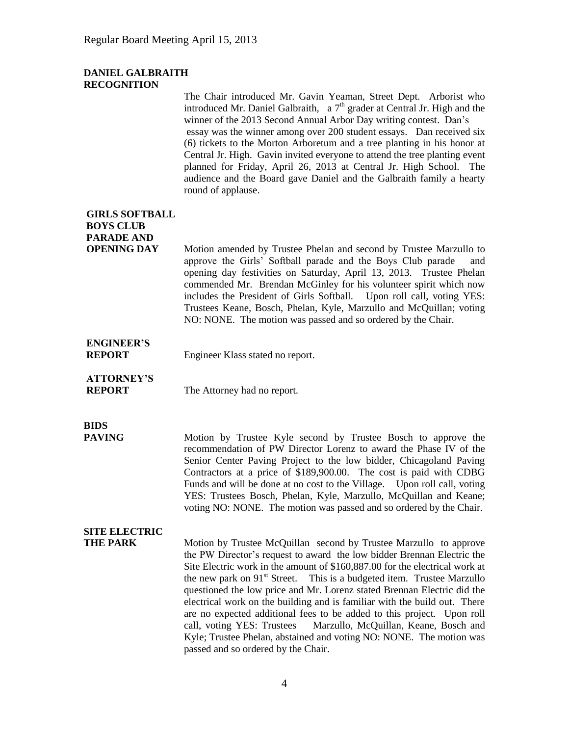### **DANIEL GALBRAITH RECOGNITION**

The Chair introduced Mr. Gavin Yeaman, Street Dept. Arborist who introduced Mr. Daniel Galbraith, a  $7<sup>th</sup>$  grader at Central Jr. High and the winner of the 2013 Second Annual Arbor Day writing contest. Dan's essay was the winner among over 200 student essays. Dan received six (6) tickets to the Morton Arboretum and a tree planting in his honor at Central Jr. High. Gavin invited everyone to attend the tree planting event planned for Friday, April 26, 2013 at Central Jr. High School. The audience and the Board gave Daniel and the Galbraith family a hearty round of applause.

## **GIRLS SOFTBALL BOYS CLUB PARADE AND**

**OPENING DAY** Motion amended by Trustee Phelan and second by Trustee Marzullo to approve the Girls' Softball parade and the Boys Club parade and opening day festivities on Saturday, April 13, 2013. Trustee Phelan commended Mr. Brendan McGinley for his volunteer spirit which now includes the President of Girls Softball. Upon roll call, voting YES: Trustees Keane, Bosch, Phelan, Kyle, Marzullo and McQuillan; voting NO: NONE. The motion was passed and so ordered by the Chair.

# **ENGINEER'S**

**REPORT** Engineer Klass stated no report.

## **ATTORNEY'S**

**REPORT** The Attorney had no report.

# **BIDS**

**PAVING** Motion by Trustee Kyle second by Trustee Bosch to approve the recommendation of PW Director Lorenz to award the Phase IV of the Senior Center Paving Project to the low bidder, Chicagoland Paving Contractors at a price of \$189,900.00. The cost is paid with CDBG Funds and will be done at no cost to the Village. Upon roll call, voting YES: Trustees Bosch, Phelan, Kyle, Marzullo, McQuillan and Keane; voting NO: NONE. The motion was passed and so ordered by the Chair.

## **SITE ELECTRIC**

**THE PARK** Motion by Trustee McQuillan second by Trustee Marzullo to approve the PW Director's request to award the low bidder Brennan Electric the Site Electric work in the amount of \$160,887.00 for the electrical work at the new park on  $91<sup>st</sup>$  Street. This is a budgeted item. Trustee Marzullo questioned the low price and Mr. Lorenz stated Brennan Electric did the electrical work on the building and is familiar with the build out. There are no expected additional fees to be added to this project. Upon roll call, voting YES: Trustees Marzullo, McQuillan, Keane, Bosch and Kyle; Trustee Phelan, abstained and voting NO: NONE. The motion was passed and so ordered by the Chair.